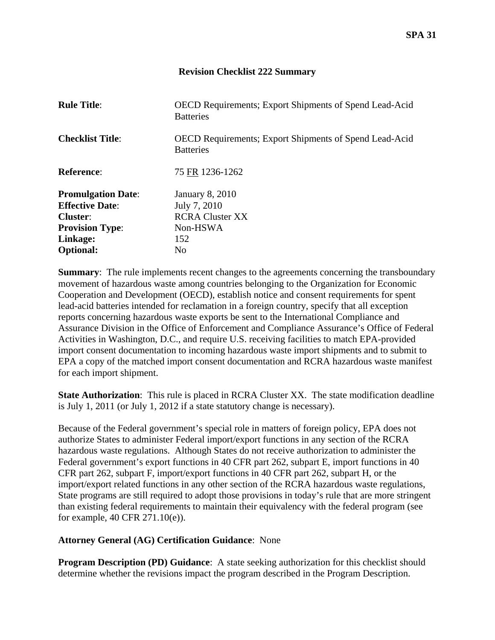## **Revision Checklist 222 Summary**

| <b>Rule Title:</b>                                              | <b>OECD Requirements; Export Shipments of Spend Lead-Acid</b><br><b>Batteries</b> |
|-----------------------------------------------------------------|-----------------------------------------------------------------------------------|
| <b>Checklist Title:</b>                                         | <b>OECD Requirements: Export Shipments of Spend Lead-Acid</b><br><b>Batteries</b> |
| <b>Reference:</b>                                               | 75 FR 1236-1262                                                                   |
| <b>Promulgation Date:</b><br><b>Effective Date:</b><br>Cluster: | <b>January 8, 2010</b><br>July 7, 2010<br><b>RCRA Cluster XX</b>                  |
| <b>Provision Type:</b>                                          | Non-HSWA                                                                          |
| Linkage:                                                        | 152                                                                               |
| <b>Optional:</b>                                                | N <sub>0</sub>                                                                    |

**Summary:** The rule implements recent changes to the agreements concerning the transboundary movement of hazardous waste among countries belonging to the Organization for Economic Cooperation and Development (OECD), establish notice and consent requirements for spent lead-acid batteries intended for reclamation in a foreign country, specify that all exception reports concerning hazardous waste exports be sent to the International Compliance and Assurance Division in the Office of Enforcement and Compliance Assurance's Office of Federal Activities in Washington, D.C., and require U.S. receiving facilities to match EPA-provided import consent documentation to incoming hazardous waste import shipments and to submit to EPA a copy of the matched import consent documentation and RCRA hazardous waste manifest for each import shipment.

**State Authorization:** This rule is placed in RCRA Cluster XX. The state modification deadline is July 1, 2011 (or July 1, 2012 if a state statutory change is necessary).

Because of the Federal government's special role in matters of foreign policy, EPA does not authorize States to administer Federal import/export functions in any section of the RCRA hazardous waste regulations. Although States do not receive authorization to administer the Federal government's export functions in 40 CFR part 262, subpart E, import functions in 40 CFR part 262, subpart F, import/export functions in 40 CFR part 262, subpart H, or the import/export related functions in any other section of the RCRA hazardous waste regulations, State programs are still required to adopt those provisions in today's rule that are more stringent than existing federal requirements to maintain their equivalency with the federal program (see for example, 40 CFR 271.10(e)).

## **Attorney General (AG) Certification Guidance**: None

**Program Description (PD) Guidance:** A state seeking authorization for this checklist should determine whether the revisions impact the program described in the Program Description.